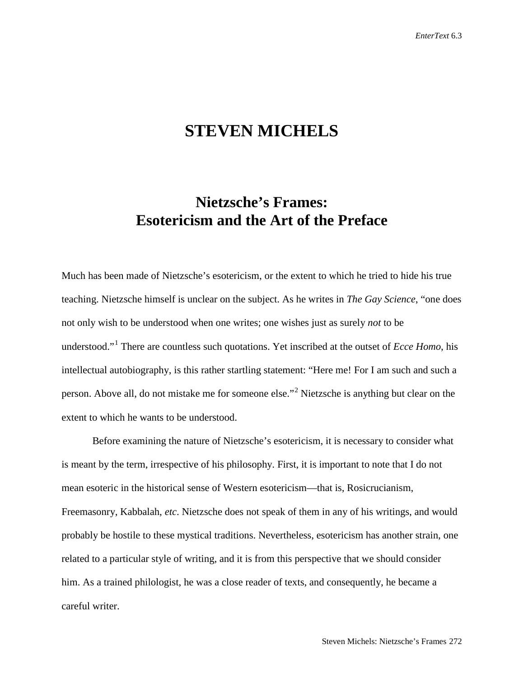# **STEVEN MICHELS**

## **Nietzsche's Frames: Esotericism and the Art of the Preface**

Much has been made of Nietzsche's esotericism, or the extent to which he tried to hide his true teaching. Nietzsche himself is unclear on the subject. As he writes in *The Gay Science*, "one does not only wish to be understood when one writes; one wishes just as surely *not* to be understood."[1](#page-27-0) There are countless such quotations. Yet inscribed at the outset of *Ecce Homo*, his intellectual autobiography, is this rather startling statement: "Here me! For I am such and such a person. Above all, do not mistake me for someone else."[2](#page-27-1) Nietzsche is anything but clear on the extent to which he wants to be understood.

Before examining the nature of Nietzsche's esotericism, it is necessary to consider what is meant by the term, irrespective of his philosophy. First, it is important to note that I do not mean esoteric in the historical sense of Western esotericism—that is, Rosicrucianism, Freemasonry, Kabbalah, *etc*. Nietzsche does not speak of them in any of his writings, and would probably be hostile to these mystical traditions. Nevertheless, esotericism has another strain, one related to a particular style of writing, and it is from this perspective that we should consider him. As a trained philologist, he was a close reader of texts, and consequently, he became a careful writer.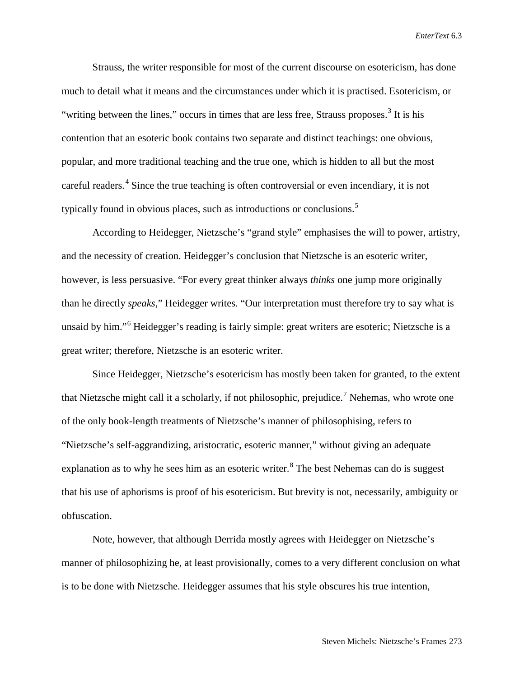Strauss, the writer responsible for most of the current discourse on esotericism, has done much to detail what it means and the circumstances under which it is practised. Esotericism, or "writing between the lines," occurs in times that are less free, Strauss proposes. $3$  It is his contention that an esoteric book contains two separate and distinct teachings: one obvious, popular, and more traditional teaching and the true one, which is hidden to all but the most careful readers.<sup>[4](#page-28-1)</sup> Since the true teaching is often controversial or even incendiary, it is not typically found in obvious places, such as introductions or conclusions.<sup>[5](#page-28-2)</sup>

According to Heidegger, Nietzsche's "grand style" emphasises the will to power, artistry, and the necessity of creation. Heidegger's conclusion that Nietzsche is an esoteric writer, however, is less persuasive. "For every great thinker always *thinks* one jump more originally than he directly *speaks*," Heidegger writes. "Our interpretation must therefore try to say what is unsaid by him."[6](#page-28-3) Heidegger's reading is fairly simple: great writers are esoteric; Nietzsche is a great writer; therefore, Nietzsche is an esoteric writer.

Since Heidegger, Nietzsche's esotericism has mostly been taken for granted, to the extent that Nietzsche might call it a scholarly, if not philosophic, prejudice.<sup>[7](#page-28-4)</sup> Nehemas, who wrote one of the only book-length treatments of Nietzsche's manner of philosophising, refers to "Nietzsche's self-aggrandizing, aristocratic, esoteric manner," without giving an adequate explanation as to why he sees him as an esoteric writer.<sup>[8](#page-28-5)</sup> The best Nehemas can do is suggest that his use of aphorisms is proof of his esotericism. But brevity is not, necessarily, ambiguity or obfuscation.

Note, however, that although Derrida mostly agrees with Heidegger on Nietzsche's manner of philosophizing he, at least provisionally, comes to a very different conclusion on what is to be done with Nietzsche. Heidegger assumes that his style obscures his true intention,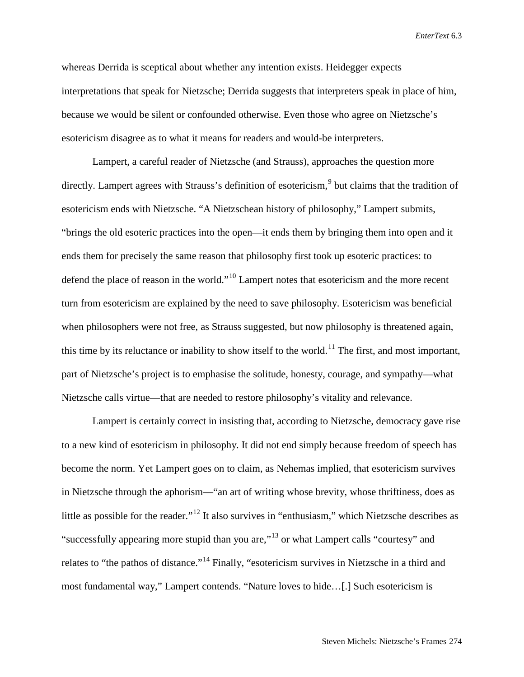whereas Derrida is sceptical about whether any intention exists. Heidegger expects interpretations that speak for Nietzsche; Derrida suggests that interpreters speak in place of him, because we would be silent or confounded otherwise. Even those who agree on Nietzsche's esotericism disagree as to what it means for readers and would-be interpreters.

Lampert, a careful reader of Nietzsche (and Strauss), approaches the question more directly. Lampert agrees with Strauss's definition of esotericism,<sup>[9](#page-29-0)</sup> but claims that the tradition of esotericism ends with Nietzsche. "A Nietzschean history of philosophy," Lampert submits, "brings the old esoteric practices into the open—it ends them by bringing them into open and it ends them for precisely the same reason that philosophy first took up esoteric practices: to defend the place of reason in the world."[10](#page-29-1) Lampert notes that esotericism and the more recent turn from esotericism are explained by the need to save philosophy. Esotericism was beneficial when philosophers were not free, as Strauss suggested, but now philosophy is threatened again, this time by its reluctance or inability to show itself to the world.<sup>[11](#page-29-2)</sup> The first, and most important, part of Nietzsche's project is to emphasise the solitude, honesty, courage, and sympathy—what Nietzsche calls virtue—that are needed to restore philosophy's vitality and relevance.

Lampert is certainly correct in insisting that, according to Nietzsche, democracy gave rise to a new kind of esotericism in philosophy. It did not end simply because freedom of speech has become the norm. Yet Lampert goes on to claim, as Nehemas implied, that esotericism survives in Nietzsche through the aphorism—"an art of writing whose brevity, whose thriftiness, does as little as possible for the reader."<sup>[12](#page-29-3)</sup> It also survives in "enthusiasm," which Nietzsche describes as "successfully appearing more stupid than you are,"[13](#page-29-4) or what Lampert calls "courtesy" and relates to "the pathos of distance."[14](#page-29-5) Finally, "esotericism survives in Nietzsche in a third and most fundamental way," Lampert contends. "Nature loves to hide…[.] Such esotericism is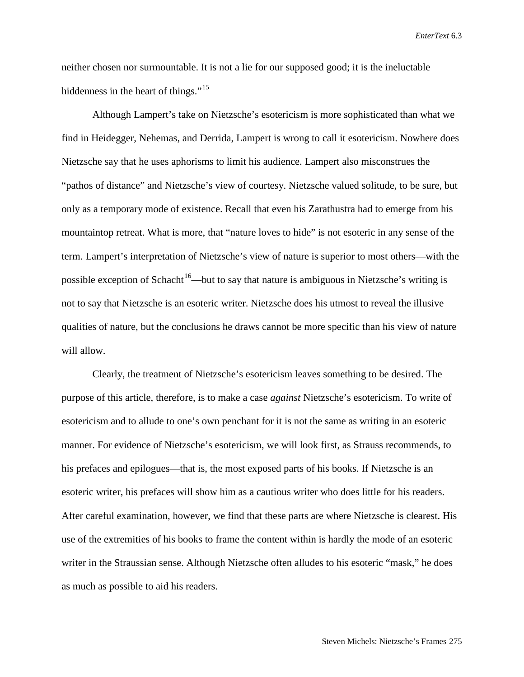neither chosen nor surmountable. It is not a lie for our supposed good; it is the ineluctable hiddenness in the heart of things."<sup>15</sup>

Although Lampert's take on Nietzsche's esotericism is more sophisticated than what we find in Heidegger, Nehemas, and Derrida, Lampert is wrong to call it esotericism. Nowhere does Nietzsche say that he uses aphorisms to limit his audience. Lampert also misconstrues the "pathos of distance" and Nietzsche's view of courtesy. Nietzsche valued solitude, to be sure, but only as a temporary mode of existence. Recall that even his Zarathustra had to emerge from his mountaintop retreat. What is more, that "nature loves to hide" is not esoteric in any sense of the term. Lampert's interpretation of Nietzsche's view of nature is superior to most others—with the possible exception of Schacht<sup>16</sup>—but to say that nature is ambiguous in Nietzsche's writing is not to say that Nietzsche is an esoteric writer. Nietzsche does his utmost to reveal the illusive qualities of nature, but the conclusions he draws cannot be more specific than his view of nature will allow.

Clearly, the treatment of Nietzsche's esotericism leaves something to be desired. The purpose of this article, therefore, is to make a case *against* Nietzsche's esotericism. To write of esotericism and to allude to one's own penchant for it is not the same as writing in an esoteric manner. For evidence of Nietzsche's esotericism, we will look first, as Strauss recommends, to his prefaces and epilogues—that is, the most exposed parts of his books. If Nietzsche is an esoteric writer, his prefaces will show him as a cautious writer who does little for his readers. After careful examination, however, we find that these parts are where Nietzsche is clearest. His use of the extremities of his books to frame the content within is hardly the mode of an esoteric writer in the Straussian sense. Although Nietzsche often alludes to his esoteric "mask," he does as much as possible to aid his readers.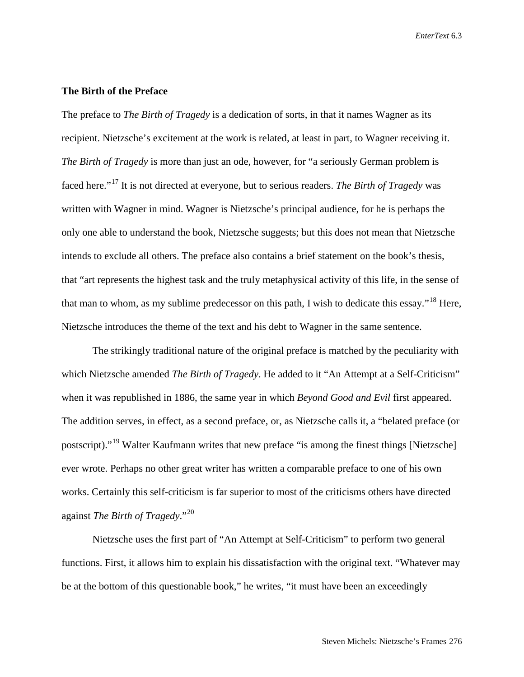## **The Birth of the Preface**

The preface to *The Birth of Tragedy* is a dedication of sorts, in that it names Wagner as its recipient. Nietzsche's excitement at the work is related, at least in part, to Wagner receiving it. *The Birth of Tragedy* is more than just an ode, however, for "a seriously German problem is faced here."[17](#page-29-8) It is not directed at everyone, but to serious readers. *The Birth of Tragedy* was written with Wagner in mind. Wagner is Nietzsche's principal audience, for he is perhaps the only one able to understand the book, Nietzsche suggests; but this does not mean that Nietzsche intends to exclude all others. The preface also contains a brief statement on the book's thesis, that "art represents the highest task and the truly metaphysical activity of this life, in the sense of that man to whom, as my sublime predecessor on this path, I wish to dedicate this essay."[18](#page-29-9) Here, Nietzsche introduces the theme of the text and his debt to Wagner in the same sentence.

The strikingly traditional nature of the original preface is matched by the peculiarity with which Nietzsche amended *The Birth of Tragedy*. He added to it "An Attempt at a Self-Criticism" when it was republished in 1886, the same year in which *Beyond Good and Evil* first appeared. The addition serves, in effect, as a second preface, or, as Nietzsche calls it, a "belated preface (or postscript)."[19](#page-29-10) Walter Kaufmann writes that new preface "is among the finest things [Nietzsche] ever wrote. Perhaps no other great writer has written a comparable preface to one of his own works. Certainly this self-criticism is far superior to most of the criticisms others have directed against *The Birth of Tragedy*."[20](#page-29-11)

Nietzsche uses the first part of "An Attempt at Self-Criticism" to perform two general functions. First, it allows him to explain his dissatisfaction with the original text. "Whatever may be at the bottom of this questionable book," he writes, "it must have been an exceedingly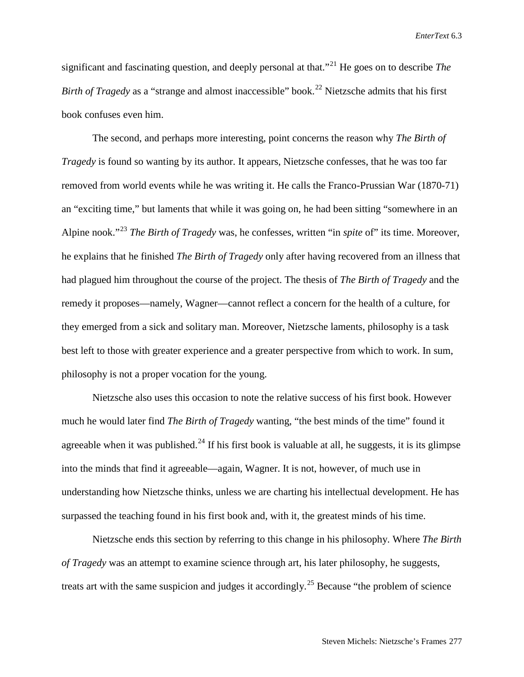significant and fascinating question, and deeply personal at that.<sup>"[21](#page-29-12)</sup> He goes on to describe *The Birth of Tragedy* as a "strange and almost inaccessible" book. [22](#page-29-13) Nietzsche admits that his first book confuses even him.

The second, and perhaps more interesting, point concerns the reason why *The Birth of Tragedy* is found so wanting by its author. It appears, Nietzsche confesses, that he was too far removed from world events while he was writing it. He calls the Franco-Prussian War (1870-71) an "exciting time," but laments that while it was going on, he had been sitting "somewhere in an Alpine nook."[23](#page-29-14) *The Birth of Tragedy* was, he confesses, written "in *spite* of" its time. Moreover, he explains that he finished *The Birth of Tragedy* only after having recovered from an illness that had plagued him throughout the course of the project. The thesis of *The Birth of Tragedy* and the remedy it proposes—namely, Wagner—cannot reflect a concern for the health of a culture, for they emerged from a sick and solitary man. Moreover, Nietzsche laments, philosophy is a task best left to those with greater experience and a greater perspective from which to work. In sum, philosophy is not a proper vocation for the young.

Nietzsche also uses this occasion to note the relative success of his first book. However much he would later find *The Birth of Tragedy* wanting, "the best minds of the time" found it agreeable when it was published.<sup>[24](#page-29-15)</sup> If his first book is valuable at all, he suggests, it is its glimpse into the minds that find it agreeable—again, Wagner. It is not, however, of much use in understanding how Nietzsche thinks, unless we are charting his intellectual development. He has surpassed the teaching found in his first book and, with it, the greatest minds of his time.

Nietzsche ends this section by referring to this change in his philosophy. Where *The Birth of Tragedy* was an attempt to examine science through art, his later philosophy, he suggests, treats art with the same suspicion and judges it accordingly.<sup>[25](#page-29-16)</sup> Because "the problem of science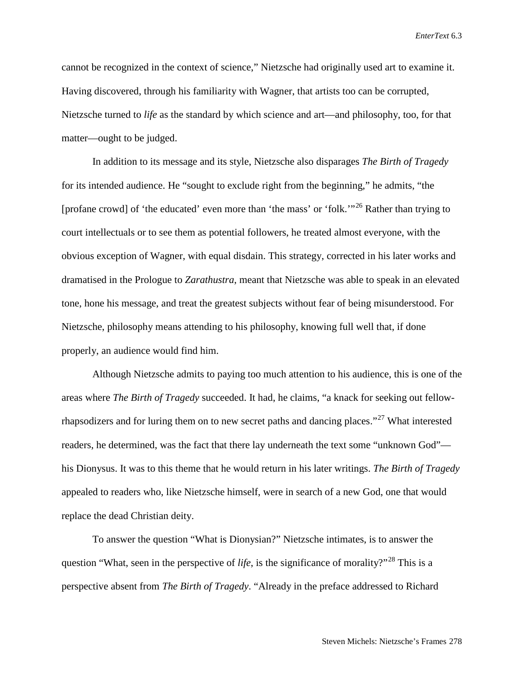cannot be recognized in the context of science," Nietzsche had originally used art to examine it. Having discovered, through his familiarity with Wagner, that artists too can be corrupted, Nietzsche turned to *life* as the standard by which science and art—and philosophy, too, for that matter—ought to be judged.

In addition to its message and its style, Nietzsche also disparages *The Birth of Tragedy* for its intended audience. He "sought to exclude right from the beginning," he admits, "the [profane crowd] of 'the educated' even more than 'the mass' or 'folk.'"[26](#page-29-17) Rather than trying to court intellectuals or to see them as potential followers, he treated almost everyone, with the obvious exception of Wagner, with equal disdain. This strategy, corrected in his later works and dramatised in the Prologue to *Zarathustra*, meant that Nietzsche was able to speak in an elevated tone, hone his message, and treat the greatest subjects without fear of being misunderstood. For Nietzsche, philosophy means attending to his philosophy, knowing full well that, if done properly, an audience would find him.

Although Nietzsche admits to paying too much attention to his audience, this is one of the areas where *The Birth of Tragedy* succeeded. It had, he claims, "a knack for seeking out fellow-rhapsodizers and for luring them on to new secret paths and dancing places."<sup>[27](#page-29-18)</sup> What interested readers, he determined, was the fact that there lay underneath the text some "unknown God" his Dionysus. It was to this theme that he would return in his later writings. *The Birth of Tragedy* appealed to readers who, like Nietzsche himself, were in search of a new God, one that would replace the dead Christian deity.

To answer the question "What is Dionysian?" Nietzsche intimates, is to answer the question "What, seen in the perspective of *life*, is the significance of morality?"<sup>[28](#page-29-19)</sup> This is a perspective absent from *The Birth of Tragedy*. "Already in the preface addressed to Richard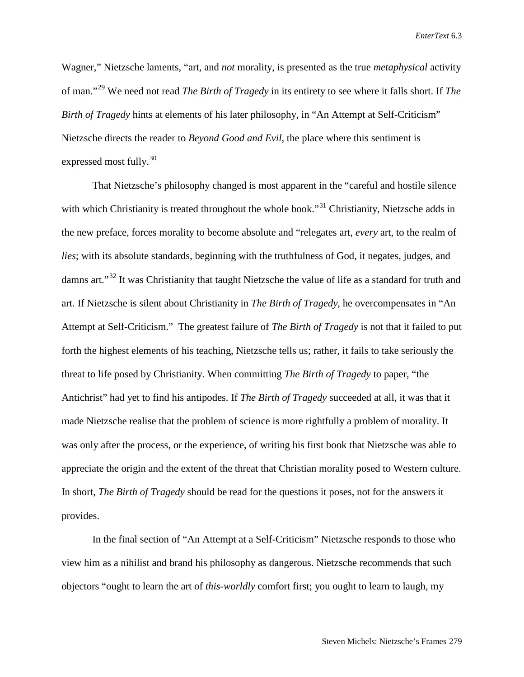Wagner," Nietzsche laments, "art, and *not* morality, is presented as the true *metaphysical* activity of man."[29](#page-29-20) We need not read *The Birth of Tragedy* in its entirety to see where it falls short. If *The Birth of Tragedy* hints at elements of his later philosophy, in "An Attempt at Self-Criticism" Nietzsche directs the reader to *Beyond Good and Evil*, the place where this sentiment is expressed most fully. $30$ 

That Nietzsche's philosophy changed is most apparent in the "careful and hostile silence with which Christianity is treated throughout the whole book."<sup>[31](#page-29-22)</sup> Christianity, Nietzsche adds in the new preface, forces morality to become absolute and "relegates art, *every* art, to the realm of *lies*; with its absolute standards, beginning with the truthfulness of God, it negates, judges, and damns art."[32](#page-29-23) It was Christianity that taught Nietzsche the value of life as a standard for truth and art. If Nietzsche is silent about Christianity in *The Birth of Tragedy*, he overcompensates in "An Attempt at Self-Criticism." The greatest failure of *The Birth of Tragedy* is not that it failed to put forth the highest elements of his teaching, Nietzsche tells us; rather, it fails to take seriously the threat to life posed by Christianity. When committing *The Birth of Tragedy* to paper, "the Antichrist" had yet to find his antipodes. If *The Birth of Tragedy* succeeded at all, it was that it made Nietzsche realise that the problem of science is more rightfully a problem of morality. It was only after the process, or the experience, of writing his first book that Nietzsche was able to appreciate the origin and the extent of the threat that Christian morality posed to Western culture. In short, *The Birth of Tragedy* should be read for the questions it poses, not for the answers it provides.

In the final section of "An Attempt at a Self-Criticism" Nietzsche responds to those who view him as a nihilist and brand his philosophy as dangerous. Nietzsche recommends that such objectors "ought to learn the art of *this-worldly* comfort first; you ought to learn to laugh, my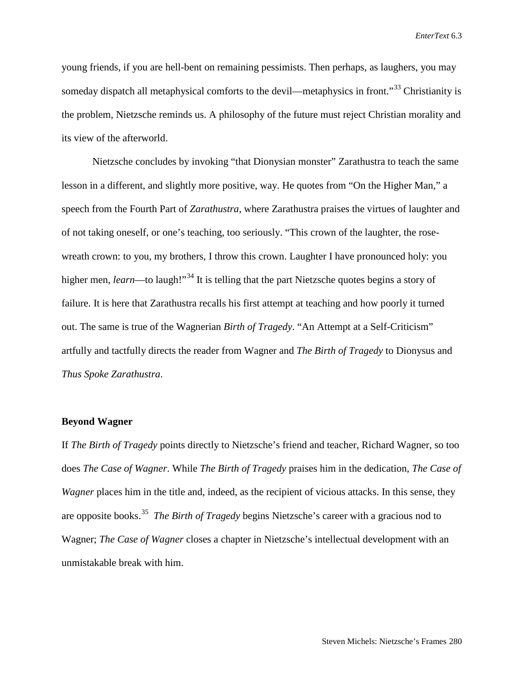young friends, if you are hell-bent on remaining pessimists. Then perhaps, as laughers, you may someday dispatch all metaphysical comforts to the devil—metaphysics in front."<sup>[33](#page-29-24)</sup> Christianity is the problem, Nietzsche reminds us. A philosophy of the future must reject Christian morality and its view of the afterworld.

Nietzsche concludes by invoking "that Dionysian monster" Zarathustra to teach the same lesson in a different, and slightly more positive, way. He quotes from "On the Higher Man," a speech from the Fourth Part of *Zarathustra*, where Zarathustra praises the virtues of laughter and of not taking oneself, or one's teaching, too seriously. "This crown of the laughter, the rosewreath crown: to you, my brothers, I throw this crown. Laughter I have pronounced holy: you higher men, *learn*—to laugh!"<sup>[34](#page-29-25)</sup> It is telling that the part Nietzsche quotes begins a story of failure. It is here that Zarathustra recalls his first attempt at teaching and how poorly it turned out. The same is true of the Wagnerian *Birth of Tragedy*. "An Attempt at a Self-Criticism" artfully and tactfully directs the reader from Wagner and *The Birth of Tragedy* to Dionysus and *Thus Spoke Zarathustra*.

#### **Beyond Wagner**

If *The Birth of Tragedy* points directly to Nietzsche's friend and teacher, Richard Wagner, so too does *The Case of Wagner*. While *The Birth of Tragedy* praises him in the dedication, *The Case of Wagner* places him in the title and, indeed, as the recipient of vicious attacks. In this sense, they are opposite books.[35](#page-29-26) *The Birth of Tragedy* begins Nietzsche's career with a gracious nod to Wagner; *The Case of Wagner* closes a chapter in Nietzsche's intellectual development with an unmistakable break with him.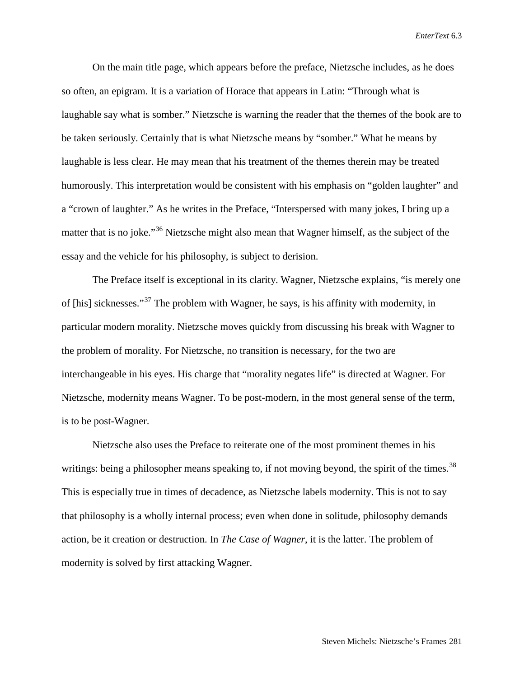On the main title page, which appears before the preface, Nietzsche includes, as he does so often, an epigram. It is a variation of Horace that appears in Latin: "Through what is laughable say what is somber." Nietzsche is warning the reader that the themes of the book are to be taken seriously. Certainly that is what Nietzsche means by "somber." What he means by laughable is less clear. He may mean that his treatment of the themes therein may be treated humorously. This interpretation would be consistent with his emphasis on "golden laughter" and a "crown of laughter." As he writes in the Preface, "Interspersed with many jokes, I bring up a matter that is no joke."<sup>[36](#page-29-27)</sup> Nietzsche might also mean that Wagner himself, as the subject of the essay and the vehicle for his philosophy, is subject to derision.

The Preface itself is exceptional in its clarity. Wagner, Nietzsche explains, "is merely one of [his] sicknesses."[37](#page-29-28) The problem with Wagner, he says, is his affinity with modernity, in particular modern morality. Nietzsche moves quickly from discussing his break with Wagner to the problem of morality. For Nietzsche, no transition is necessary, for the two are interchangeable in his eyes. His charge that "morality negates life" is directed at Wagner. For Nietzsche, modernity means Wagner. To be post-modern, in the most general sense of the term, is to be post-Wagner.

Nietzsche also uses the Preface to reiterate one of the most prominent themes in his writings: being a philosopher means speaking to, if not moving beyond, the spirit of the times.<sup>[38](#page-29-29)</sup> This is especially true in times of decadence, as Nietzsche labels modernity. This is not to say that philosophy is a wholly internal process; even when done in solitude, philosophy demands action, be it creation or destruction. In *The Case of Wagner*, it is the latter. The problem of modernity is solved by first attacking Wagner.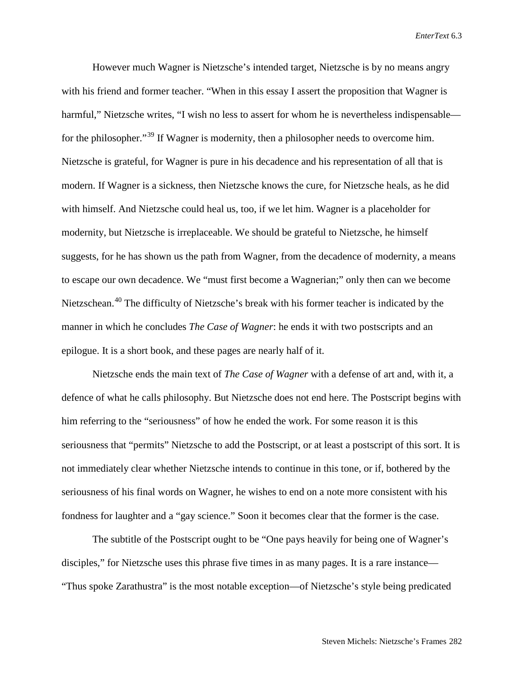However much Wagner is Nietzsche's intended target, Nietzsche is by no means angry with his friend and former teacher. "When in this essay I assert the proposition that Wagner is harmful," Nietzsche writes, "I wish no less to assert for whom he is nevertheless indispensable— for the philosopher."<sup>[39](#page-29-30)</sup> If Wagner is modernity, then a philosopher needs to overcome him. Nietzsche is grateful, for Wagner is pure in his decadence and his representation of all that is modern. If Wagner is a sickness, then Nietzsche knows the cure, for Nietzsche heals, as he did with himself. And Nietzsche could heal us, too, if we let him. Wagner is a placeholder for modernity, but Nietzsche is irreplaceable. We should be grateful to Nietzsche, he himself suggests, for he has shown us the path from Wagner, from the decadence of modernity, a means to escape our own decadence. We "must first become a Wagnerian;" only then can we become Nietzschean.<sup>[40](#page-29-31)</sup> The difficulty of Nietzsche's break with his former teacher is indicated by the manner in which he concludes *The Case of Wagner*: he ends it with two postscripts and an epilogue. It is a short book, and these pages are nearly half of it.

Nietzsche ends the main text of *The Case of Wagner* with a defense of art and, with it, a defence of what he calls philosophy. But Nietzsche does not end here. The Postscript begins with him referring to the "seriousness" of how he ended the work. For some reason it is this seriousness that "permits" Nietzsche to add the Postscript, or at least a postscript of this sort. It is not immediately clear whether Nietzsche intends to continue in this tone, or if, bothered by the seriousness of his final words on Wagner, he wishes to end on a note more consistent with his fondness for laughter and a "gay science." Soon it becomes clear that the former is the case.

The subtitle of the Postscript ought to be "One pays heavily for being one of Wagner's disciples," for Nietzsche uses this phrase five times in as many pages. It is a rare instance— "Thus spoke Zarathustra" is the most notable exception—of Nietzsche's style being predicated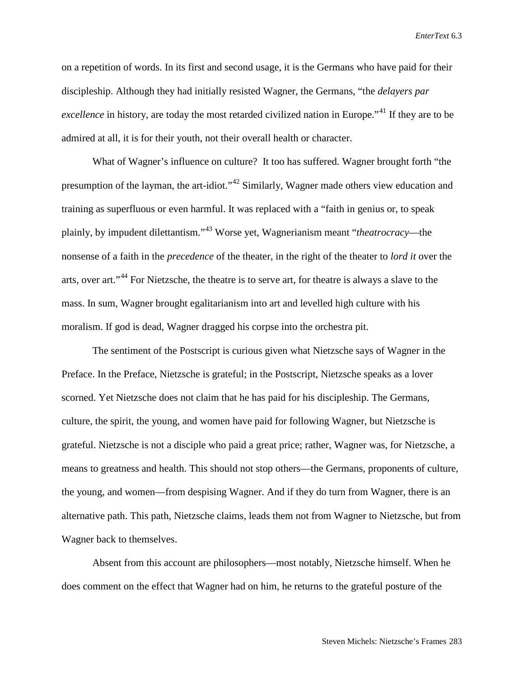on a repetition of words. In its first and second usage, it is the Germans who have paid for their discipleship. Although they had initially resisted Wagner, the Germans, "the *delayers par excellence* in history, are today the most retarded civilized nation in Europe."<sup>[41](#page-29-32)</sup> If they are to be admired at all, it is for their youth, not their overall health or character.

What of Wagner's influence on culture? It too has suffered. Wagner brought forth "the presumption of the layman, the art-idiot."<sup>[42](#page-29-33)</sup> Similarly, Wagner made others view education and training as superfluous or even harmful. It was replaced with a "faith in genius or, to speak plainly, by impudent dilettantism."[43](#page-29-34) Worse yet, Wagnerianism meant "*theatrocracy*—the nonsense of a faith in the *precedence* of the theater, in the right of the theater to *lord it* over the arts, over art."<sup>[44](#page-29-35)</sup> For Nietzsche, the theatre is to serve art, for theatre is always a slave to the mass. In sum, Wagner brought egalitarianism into art and levelled high culture with his moralism. If god is dead, Wagner dragged his corpse into the orchestra pit.

The sentiment of the Postscript is curious given what Nietzsche says of Wagner in the Preface. In the Preface, Nietzsche is grateful; in the Postscript, Nietzsche speaks as a lover scorned. Yet Nietzsche does not claim that he has paid for his discipleship. The Germans, culture, the spirit, the young, and women have paid for following Wagner, but Nietzsche is grateful. Nietzsche is not a disciple who paid a great price; rather, Wagner was, for Nietzsche, a means to greatness and health. This should not stop others—the Germans, proponents of culture, the young, and women—from despising Wagner. And if they do turn from Wagner, there is an alternative path. This path, Nietzsche claims, leads them not from Wagner to Nietzsche, but from Wagner back to themselves.

Absent from this account are philosophers—most notably, Nietzsche himself. When he does comment on the effect that Wagner had on him, he returns to the grateful posture of the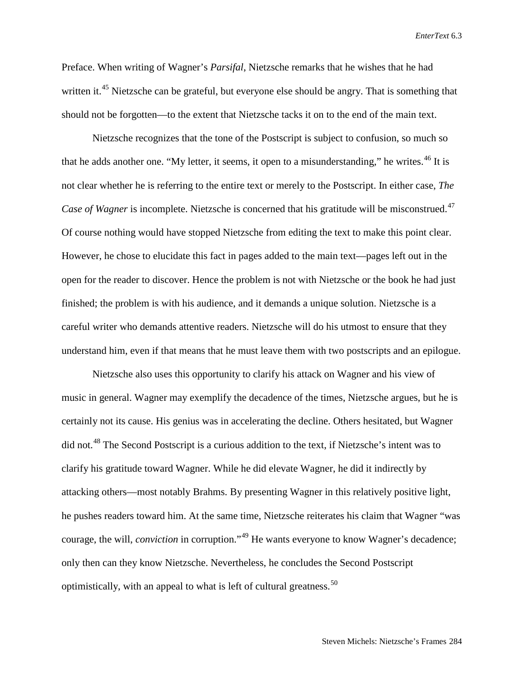Preface. When writing of Wagner's *Parsifal*, Nietzsche remarks that he wishes that he had written it.<sup>[45](#page-29-36)</sup> Nietzsche can be grateful, but everyone else should be angry. That is something that should not be forgotten—to the extent that Nietzsche tacks it on to the end of the main text.

Nietzsche recognizes that the tone of the Postscript is subject to confusion, so much so that he adds another one. "My letter, it seems, it open to a misunderstanding," he writes.<sup>[46](#page-29-37)</sup> It is not clear whether he is referring to the entire text or merely to the Postscript. In either case, *The Case of Wagner* is incomplete. Nietzsche is concerned that his gratitude will be misconstrued.<sup>[47](#page-29-38)</sup> Of course nothing would have stopped Nietzsche from editing the text to make this point clear. However, he chose to elucidate this fact in pages added to the main text—pages left out in the open for the reader to discover. Hence the problem is not with Nietzsche or the book he had just finished; the problem is with his audience, and it demands a unique solution. Nietzsche is a careful writer who demands attentive readers. Nietzsche will do his utmost to ensure that they understand him, even if that means that he must leave them with two postscripts and an epilogue.

Nietzsche also uses this opportunity to clarify his attack on Wagner and his view of music in general. Wagner may exemplify the decadence of the times, Nietzsche argues, but he is certainly not its cause. His genius was in accelerating the decline. Others hesitated, but Wagner did not.<sup>[48](#page-29-39)</sup> The Second Postscript is a curious addition to the text, if Nietzsche's intent was to clarify his gratitude toward Wagner. While he did elevate Wagner, he did it indirectly by attacking others—most notably Brahms. By presenting Wagner in this relatively positive light, he pushes readers toward him. At the same time, Nietzsche reiterates his claim that Wagner "was courage, the will, *conviction* in corruption."[49](#page-29-40) He wants everyone to know Wagner's decadence; only then can they know Nietzsche. Nevertheless, he concludes the Second Postscript optimistically, with an appeal to what is left of cultural greatness.[50](#page-29-41)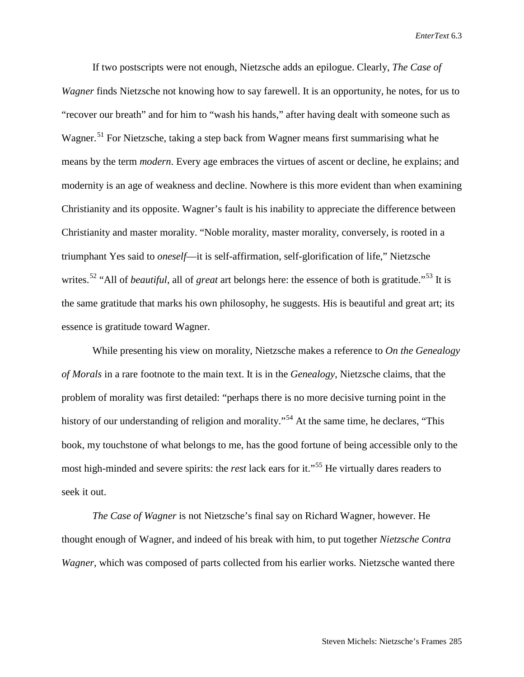If two postscripts were not enough, Nietzsche adds an epilogue. Clearly, *The Case of Wagner* finds Nietzsche not knowing how to say farewell. It is an opportunity, he notes, for us to "recover our breath" and for him to "wash his hands," after having dealt with someone such as Wagner.<sup>[51](#page-29-42)</sup> For Nietzsche, taking a step back from Wagner means first summarising what he means by the term *modern*. Every age embraces the virtues of ascent or decline, he explains; and modernity is an age of weakness and decline. Nowhere is this more evident than when examining Christianity and its opposite. Wagner's fault is his inability to appreciate the difference between Christianity and master morality. "Noble morality, master morality, conversely, is rooted in a triumphant Yes said to *oneself*—it is self-affirmation, self-glorification of life," Nietzsche writes.<sup>[52](#page-29-43)</sup> "All of *beautiful*, all of *great* art belongs here: the essence of both is gratitude.<sup>"[53](#page-29-44)</sup> It is the same gratitude that marks his own philosophy, he suggests. His is beautiful and great art; its essence is gratitude toward Wagner.

While presenting his view on morality, Nietzsche makes a reference to *On the Genealogy of Morals* in a rare footnote to the main text. It is in the *Genealogy*, Nietzsche claims, that the problem of morality was first detailed: "perhaps there is no more decisive turning point in the history of our understanding of religion and morality."<sup>[54](#page-29-45)</sup> At the same time, he declares, "This book, my touchstone of what belongs to me, has the good fortune of being accessible only to the most high-minded and severe spirits: the *rest* lack ears for it."[55](#page-29-46) He virtually dares readers to seek it out.

*The Case of Wagner* is not Nietzsche's final say on Richard Wagner, however. He thought enough of Wagner, and indeed of his break with him, to put together *Nietzsche Contra Wagner*, which was composed of parts collected from his earlier works. Nietzsche wanted there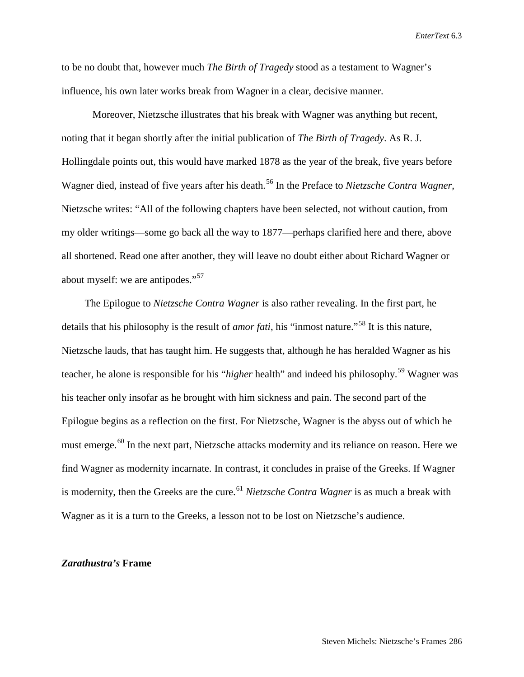to be no doubt that, however much *The Birth of Tragedy* stood as a testament to Wagner's influence, his own later works break from Wagner in a clear, decisive manner.

Moreover, Nietzsche illustrates that his break with Wagner was anything but recent, noting that it began shortly after the initial publication of *The Birth of Tragedy*. As R. J. Hollingdale points out, this would have marked 1878 as the year of the break, five years before Wagner died, instead of five years after his death.<sup>[56](#page-29-47)</sup> In the Preface to *Nietzsche Contra Wagner*, Nietzsche writes: "All of the following chapters have been selected, not without caution, from my older writings—some go back all the way to 1877—perhaps clarified here and there, above all shortened. Read one after another, they will leave no doubt either about Richard Wagner or about myself: we are antipodes."<sup>[57](#page-29-48)</sup>

The Epilogue to *Nietzsche Contra Wagner* is also rather revealing. In the first part, he details that his philosophy is the result of *amor fati*, his "inmost nature."<sup>[58](#page-29-49)</sup> It is this nature, Nietzsche lauds, that has taught him. He suggests that, although he has heralded Wagner as his teacher, he alone is responsible for his "*higher* health" and indeed his philosophy. [59](#page-29-50) Wagner was his teacher only insofar as he brought with him sickness and pain. The second part of the Epilogue begins as a reflection on the first. For Nietzsche, Wagner is the abyss out of which he must emerge.<sup>[60](#page-29-51)</sup> In the next part, Nietzsche attacks modernity and its reliance on reason. Here we find Wagner as modernity incarnate. In contrast, it concludes in praise of the Greeks. If Wagner is modernity, then the Greeks are the cure.<sup>[61](#page-29-52)</sup> *Nietzsche Contra Wagner* is as much a break with Wagner as it is a turn to the Greeks, a lesson not to be lost on Nietzsche's audience.

#### *Zarathustra's* **Frame**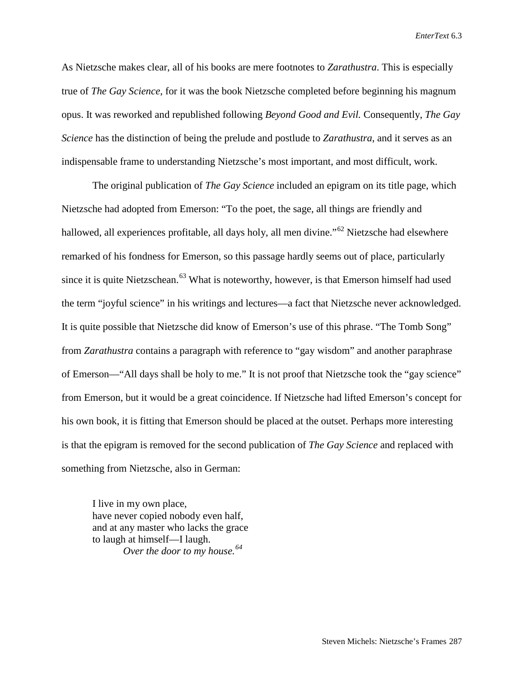As Nietzsche makes clear, all of his books are mere footnotes to *Zarathustra*. This is especially true of *The Gay Science*, for it was the book Nietzsche completed before beginning his magnum opus. It was reworked and republished following *Beyond Good and Evil.* Consequently, *The Gay Science* has the distinction of being the prelude and postlude to *Zarathustra*, and it serves as an indispensable frame to understanding Nietzsche's most important, and most difficult, work.

The original publication of *The Gay Science* included an epigram on its title page, which Nietzsche had adopted from Emerson: "To the poet, the sage, all things are friendly and hallowed, all experiences profitable, all days holy, all men divine."<sup>[62](#page-29-53)</sup> Nietzsche had elsewhere remarked of his fondness for Emerson, so this passage hardly seems out of place, particularly since it is quite Nietzschean.<sup>[63](#page-29-54)</sup> What is noteworthy, however, is that Emerson himself had used the term "joyful science" in his writings and lectures—a fact that Nietzsche never acknowledged. It is quite possible that Nietzsche did know of Emerson's use of this phrase. "The Tomb Song" from *Zarathustra* contains a paragraph with reference to "gay wisdom" and another paraphrase of Emerson—"All days shall be holy to me." It is not proof that Nietzsche took the "gay science" from Emerson, but it would be a great coincidence. If Nietzsche had lifted Emerson's concept for his own book, it is fitting that Emerson should be placed at the outset. Perhaps more interesting is that the epigram is removed for the second publication of *The Gay Science* and replaced with something from Nietzsche, also in German:

I live in my own place, have never copied nobody even half, and at any master who lacks the grace to laugh at himself—I laugh. *Over the door to my house.[64](#page-29-55)*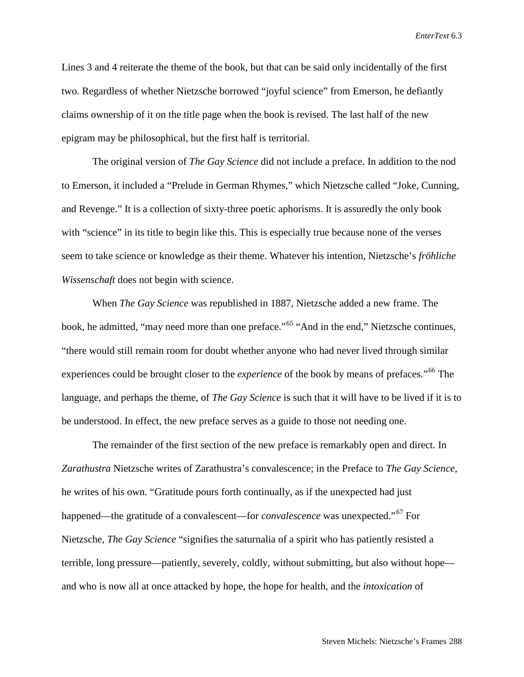Lines 3 and 4 reiterate the theme of the book, but that can be said only incidentally of the first two. Regardless of whether Nietzsche borrowed "joyful science" from Emerson, he defiantly claims ownership of it on the title page when the book is revised. The last half of the new epigram may be philosophical, but the first half is territorial.

The original version of *The Gay Science* did not include a preface. In addition to the nod to Emerson, it included a "Prelude in German Rhymes," which Nietzsche called "Joke, Cunning, and Revenge." It is a collection of sixty-three poetic aphorisms. It is assuredly the only book with "science" in its title to begin like this. This is especially true because none of the verses seem to take science or knowledge as their theme. Whatever his intention, Nietzsche's *fröhliche Wissenschaft* does not begin with science.

When *The Gay Science* was republished in 1887, Nietzsche added a new frame. The book, he admitted, "may need more than one preface."<sup>[65](#page-29-56)</sup> "And in the end," Nietzsche continues, "there would still remain room for doubt whether anyone who had never lived through similar experiences could be brought closer to the *experience* of the book by means of prefaces."<sup>[66](#page-29-57)</sup> The language, and perhaps the theme, of *The Gay Science* is such that it will have to be lived if it is to be understood. In effect, the new preface serves as a guide to those not needing one.

The remainder of the first section of the new preface is remarkably open and direct. In *Zarathustra* Nietzsche writes of Zarathustra's convalescence; in the Preface to *The Gay Science*, he writes of his own. "Gratitude pours forth continually, as if the unexpected had just happened—the gratitude of a convalescent—for *convalescence* was unexpected."[67](#page-29-58) For Nietzsche, *The Gay Science* "signifies the saturnalia of a spirit who has patiently resisted a terrible, long pressure—patiently, severely, coldly, without submitting, but also without hope and who is now all at once attacked by hope, the hope for health, and the *intoxication* of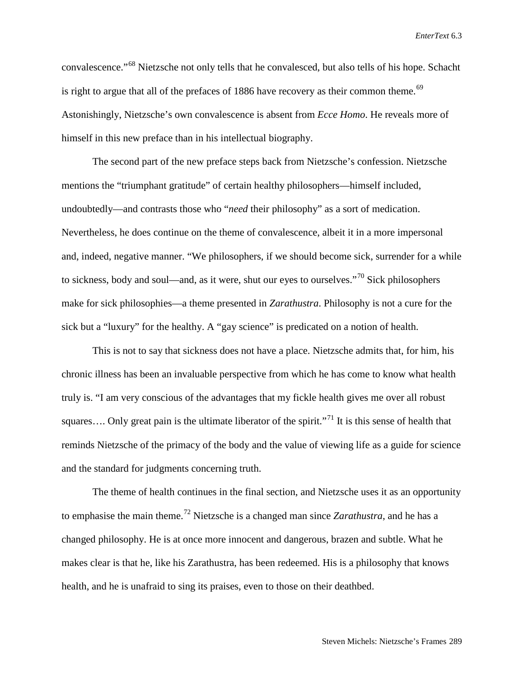convalescence."[68](#page-29-59) Nietzsche not only tells that he convalesced, but also tells of his hope. Schacht is right to argue that all of the prefaces of 1886 have recovery as their common theme.<sup>[69](#page-29-60)</sup> Astonishingly, Nietzsche's own convalescence is absent from *Ecce Homo*. He reveals more of himself in this new preface than in his intellectual biography.

The second part of the new preface steps back from Nietzsche's confession. Nietzsche mentions the "triumphant gratitude" of certain healthy philosophers—himself included, undoubtedly—and contrasts those who "*need* their philosophy" as a sort of medication. Nevertheless, he does continue on the theme of convalescence, albeit it in a more impersonal and, indeed, negative manner. "We philosophers, if we should become sick, surrender for a while to sickness, body and soul—and, as it were, shut our eyes to ourselves."<sup>[70](#page-29-61)</sup> Sick philosophers make for sick philosophies—a theme presented in *Zarathustra*. Philosophy is not a cure for the sick but a "luxury" for the healthy. A "gay science" is predicated on a notion of health.

This is not to say that sickness does not have a place. Nietzsche admits that, for him, his chronic illness has been an invaluable perspective from which he has come to know what health truly is. "I am very conscious of the advantages that my fickle health gives me over all robust squares.... Only great pain is the ultimate liberator of the spirit."<sup>[71](#page-29-62)</sup> It is this sense of health that reminds Nietzsche of the primacy of the body and the value of viewing life as a guide for science and the standard for judgments concerning truth.

The theme of health continues in the final section, and Nietzsche uses it as an opportunity to emphasise the main theme.[72](#page-29-63) Nietzsche is a changed man since *Zarathustra*, and he has a changed philosophy. He is at once more innocent and dangerous, brazen and subtle. What he makes clear is that he, like his Zarathustra, has been redeemed. His is a philosophy that knows health, and he is unafraid to sing its praises, even to those on their deathbed.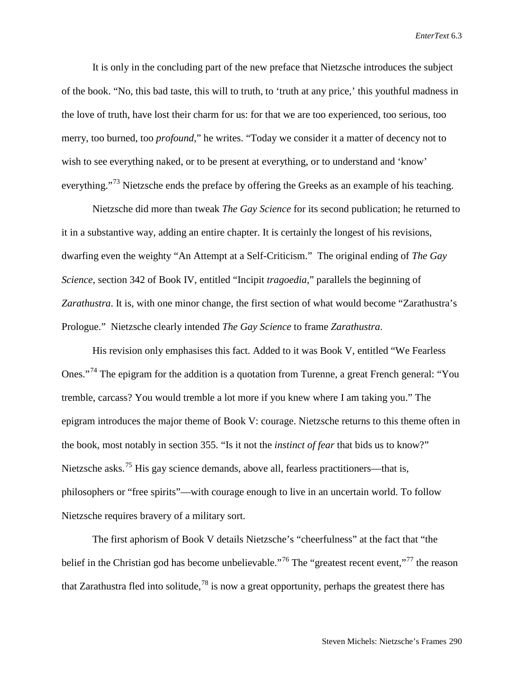It is only in the concluding part of the new preface that Nietzsche introduces the subject of the book. "No, this bad taste, this will to truth, to 'truth at any price,' this youthful madness in the love of truth, have lost their charm for us: for that we are too experienced, too serious, too merry, too burned, too *profound*," he writes. "Today we consider it a matter of decency not to wish to see everything naked, or to be present at everything, or to understand and 'know' everything."<sup>[73](#page-29-64)</sup> Nietzsche ends the preface by offering the Greeks as an example of his teaching.

Nietzsche did more than tweak *The Gay Science* for its second publication; he returned to it in a substantive way, adding an entire chapter. It is certainly the longest of his revisions, dwarfing even the weighty "An Attempt at a Self-Criticism." The original ending of *The Gay Science*, section 342 of Book IV, entitled "Incipit *tragoedia*," parallels the beginning of *Zarathustra*. It is, with one minor change, the first section of what would become "Zarathustra's Prologue." Nietzsche clearly intended *The Gay Science* to frame *Zarathustra*.

His revision only emphasises this fact. Added to it was Book V, entitled "We Fearless Ones."[74](#page-29-65) The epigram for the addition is a quotation from Turenne, a great French general: "You tremble, carcass? You would tremble a lot more if you knew where I am taking you." The epigram introduces the major theme of Book V: courage. Nietzsche returns to this theme often in the book, most notably in section 355. "Is it not the *instinct of fear* that bids us to know?" Nietzsche asks.<sup>[75](#page-29-66)</sup> His gay science demands, above all, fearless practitioners—that is, philosophers or "free spirits"—with courage enough to live in an uncertain world. To follow Nietzsche requires bravery of a military sort.

The first aphorism of Book V details Nietzsche's "cheerfulness" at the fact that "the belief in the Christian god has become unbelievable."<sup>[76](#page-29-67)</sup> The "greatest recent event,"<sup>[77](#page-29-68)</sup> the reason that Zarathustra fled into solitude,  $78$  is now a great opportunity, perhaps the greatest there has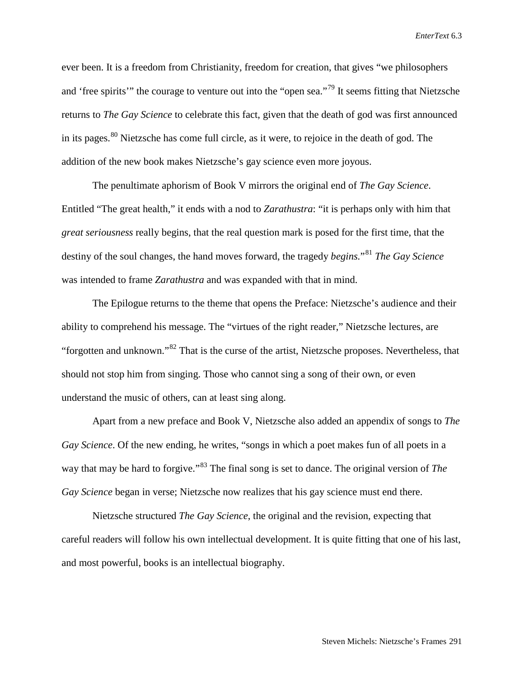ever been. It is a freedom from Christianity, freedom for creation, that gives "we philosophers and 'free spirits'" the courage to venture out into the "open sea."[79](#page-29-70) It seems fitting that Nietzsche returns to *The Gay Science* to celebrate this fact, given that the death of god was first announced in its pages.<sup>[80](#page-29-28)</sup> Nietzsche has come full circle, as it were, to rejoice in the death of god. The addition of the new book makes Nietzsche's gay science even more joyous.

The penultimate aphorism of Book V mirrors the original end of *The Gay Science*. Entitled "The great health," it ends with a nod to *Zarathustra*: "it is perhaps only with him that *great seriousness* really begins, that the real question mark is posed for the first time, that the destiny of the soul changes, the hand moves forward, the tragedy *begins.*"[81](#page-29-71) *The Gay Science* was intended to frame *Zarathustra* and was expanded with that in mind.

The Epilogue returns to the theme that opens the Preface: Nietzsche's audience and their ability to comprehend his message. The "virtues of the right reader," Nietzsche lectures, are "forgotten and unknown."[82](#page-29-29) That is the curse of the artist, Nietzsche proposes. Nevertheless, that should not stop him from singing. Those who cannot sing a song of their own, or even understand the music of others, can at least sing along.

Apart from a new preface and Book V, Nietzsche also added an appendix of songs to *The Gay Science*. Of the new ending, he writes, "songs in which a poet makes fun of all poets in a way that may be hard to forgive."[83](#page-29-30) The final song is set to dance. The original version of *The Gay Science* began in verse; Nietzsche now realizes that his gay science must end there.

Nietzsche structured *The Gay Science*, the original and the revision, expecting that careful readers will follow his own intellectual development. It is quite fitting that one of his last, and most powerful, books is an intellectual biography.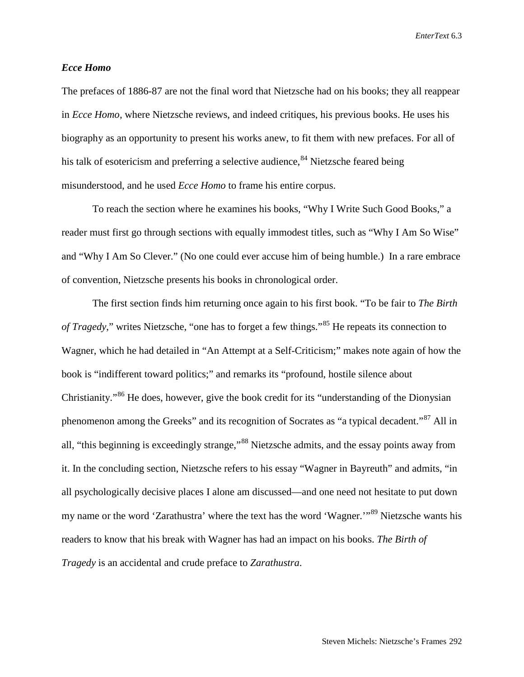## *Ecce Homo*

The prefaces of 1886-87 are not the final word that Nietzsche had on his books; they all reappear in *Ecce Homo*, where Nietzsche reviews, and indeed critiques, his previous books. He uses his biography as an opportunity to present his works anew, to fit them with new prefaces. For all of his talk of esotericism and preferring a selective audience,  $84$  Nietzsche feared being misunderstood, and he used *Ecce Homo* to frame his entire corpus.

To reach the section where he examines his books, "Why I Write Such Good Books," a reader must first go through sections with equally immodest titles, such as "Why I Am So Wise" and "Why I Am So Clever." (No one could ever accuse him of being humble.) In a rare embrace of convention, Nietzsche presents his books in chronological order.

The first section finds him returning once again to his first book. "To be fair to *The Birth of Tragedy*," writes Nietzsche, "one has to forget a few things."<sup>[85](#page-29-32)</sup> He repeats its connection to Wagner, which he had detailed in "An Attempt at a Self-Criticism;" makes note again of how the book is "indifferent toward politics;" and remarks its "profound, hostile silence about Christianity."[86](#page-29-33) He does, however, give the book credit for its "understanding of the Dionysian phenomenon among the Greeks" and its recognition of Socrates as "a typical decadent."[87](#page-29-34) All in all, "this beginning is exceedingly strange,"[88](#page-29-35) Nietzsche admits, and the essay points away from it. In the concluding section, Nietzsche refers to his essay "Wagner in Bayreuth" and admits, "in all psychologically decisive places I alone am discussed—and one need not hesitate to put down my name or the word 'Zarathustra' where the text has the word 'Wagner.'"[89](#page-29-36) Nietzsche wants his readers to know that his break with Wagner has had an impact on his books. *The Birth of Tragedy* is an accidental and crude preface to *Zarathustra*.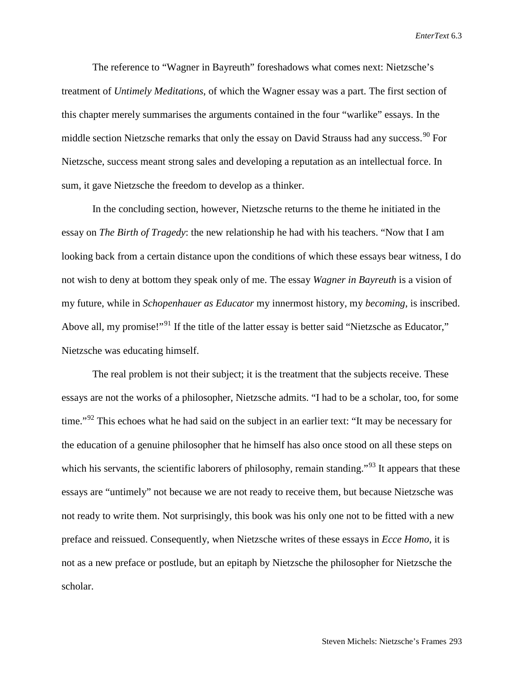The reference to "Wagner in Bayreuth" foreshadows what comes next: Nietzsche's treatment of *Untimely Meditations*, of which the Wagner essay was a part. The first section of this chapter merely summarises the arguments contained in the four "warlike" essays. In the middle section Nietzsche remarks that only the essay on David Strauss had any success.<sup>[90](#page-29-37)</sup> For Nietzsche, success meant strong sales and developing a reputation as an intellectual force. In sum, it gave Nietzsche the freedom to develop as a thinker.

In the concluding section, however, Nietzsche returns to the theme he initiated in the essay on *The Birth of Tragedy*: the new relationship he had with his teachers. "Now that I am looking back from a certain distance upon the conditions of which these essays bear witness, I do not wish to deny at bottom they speak only of me. The essay *Wagner in Bayreuth* is a vision of my future, while in *Schopenhauer as Educator* my innermost history, my *becoming*, is inscribed. Above all, my promise!"<sup>[91](#page-29-38)</sup> If the title of the latter essay is better said "Nietzsche as Educator," Nietzsche was educating himself.

The real problem is not their subject; it is the treatment that the subjects receive. These essays are not the works of a philosopher, Nietzsche admits. "I had to be a scholar, too, for some time."<sup>[92](#page-29-39)</sup> This echoes what he had said on the subject in an earlier text: "It may be necessary for the education of a genuine philosopher that he himself has also once stood on all these steps on which his servants, the scientific laborers of philosophy, remain standing."<sup>[93](#page-29-40)</sup> It appears that these essays are "untimely" not because we are not ready to receive them, but because Nietzsche was not ready to write them. Not surprisingly, this book was his only one not to be fitted with a new preface and reissued. Consequently, when Nietzsche writes of these essays in *Ecce Homo*, it is not as a new preface or postlude, but an epitaph by Nietzsche the philosopher for Nietzsche the scholar.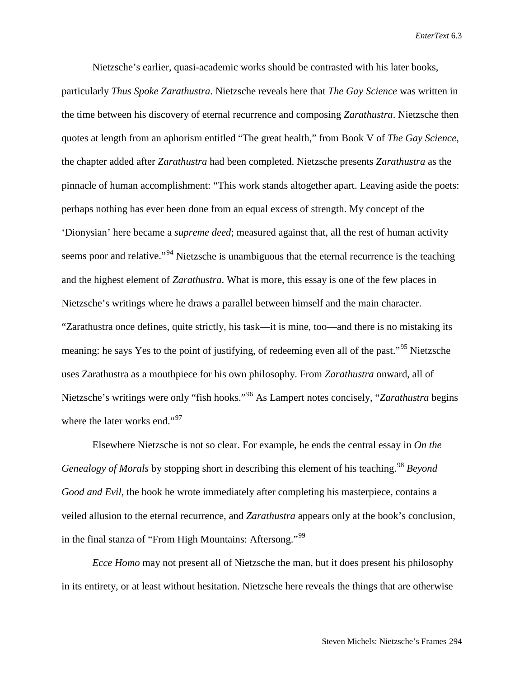Nietzsche's earlier, quasi-academic works should be contrasted with his later books, particularly *Thus Spoke Zarathustra*. Nietzsche reveals here that *The Gay Science* was written in the time between his discovery of eternal recurrence and composing *Zarathustra*. Nietzsche then quotes at length from an aphorism entitled "The great health," from Book V of *The Gay Science*, the chapter added after *Zarathustra* had been completed. Nietzsche presents *Zarathustra* as the pinnacle of human accomplishment: "This work stands altogether apart. Leaving aside the poets: perhaps nothing has ever been done from an equal excess of strength. My concept of the 'Dionysian' here became a *supreme deed*; measured against that, all the rest of human activity seems poor and relative."<sup>[94](#page-29-41)</sup> Nietzsche is unambiguous that the eternal recurrence is the teaching and the highest element of *Zarathustra*. What is more, this essay is one of the few places in Nietzsche's writings where he draws a parallel between himself and the main character. "Zarathustra once defines, quite strictly, his task—it is mine, too—and there is no mistaking its meaning: he says Yes to the point of justifying, of redeeming even all of the past."<sup>[95](#page-29-42)</sup> Nietzsche uses Zarathustra as a mouthpiece for his own philosophy. From *Zarathustra* onward, all of Nietzsche's writings were only "fish hooks."[96](#page-29-43) As Lampert notes concisely, "*Zarathustra* begins where the later works end."<sup>[97](#page-29-44)</sup>

Elsewhere Nietzsche is not so clear. For example, he ends the central essay in *On the Genealogy of Morals* by stopping short in describing this element of his teaching. [98](#page-29-46) *Beyond Good and Evil*, the book he wrote immediately after completing his masterpiece, contains a veiled allusion to the eternal recurrence, and *Zarathustra* appears only at the book's conclusion, in the final stanza of "From High Mountains: Aftersong."<sup>[99](#page-29-72)</sup>

*Ecce Homo* may not present all of Nietzsche the man, but it does present his philosophy in its entirety, or at least without hesitation. Nietzsche here reveals the things that are otherwise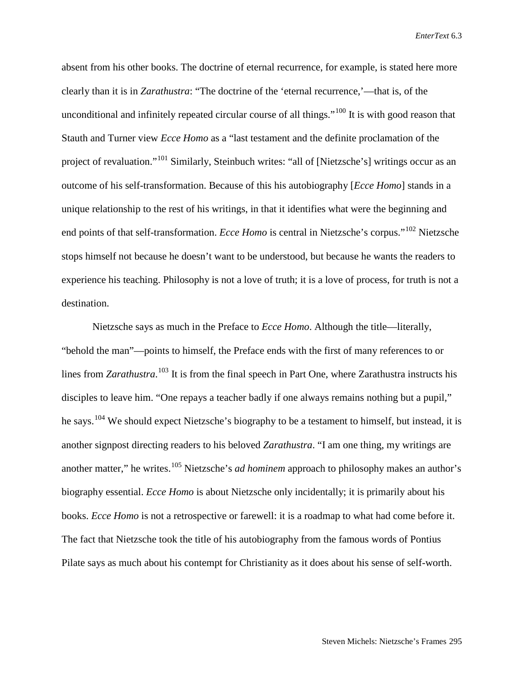absent from his other books. The doctrine of eternal recurrence, for example, is stated here more clearly than it is in *Zarathustra*: "The doctrine of the 'eternal recurrence,'—that is, of the unconditional and infinitely repeated circular course of all things."<sup>[100](#page-29-48)</sup> It is with good reason that Stauth and Turner view *Ecce Homo* as a "last testament and the definite proclamation of the project of revaluation."<sup>[101](#page-29-73)</sup> Similarly, Steinbuch writes: "all of [Nietzsche's] writings occur as an outcome of his self-transformation. Because of this his autobiography [*Ecce Homo*] stands in a unique relationship to the rest of his writings, in that it identifies what were the beginning and end points of that self-transformation. *Ecce Homo* is central in Nietzsche's corpus."[102](#page-29-50) Nietzsche stops himself not because he doesn't want to be understood, but because he wants the readers to experience his teaching. Philosophy is not a love of truth; it is a love of process, for truth is not a destination.

Nietzsche says as much in the Preface to *Ecce Homo*. Although the title—literally, "behold the man"—points to himself, the Preface ends with the first of many references to or lines from *Zarathustra*.<sup>[103](#page-29-52)</sup> It is from the final speech in Part One, where Zarathustra instructs his disciples to leave him. "One repays a teacher badly if one always remains nothing but a pupil," he says.<sup>[104](#page-29-53)</sup> We should expect Nietzsche's biography to be a testament to himself, but instead, it is another signpost directing readers to his beloved *Zarathustra*. "I am one thing, my writings are another matter," he writes. [105](#page-29-74) Nietzsche's *ad hominem* approach to philosophy makes an author's biography essential. *Ecce Homo* is about Nietzsche only incidentally; it is primarily about his books. *Ecce Homo* is not a retrospective or farewell: it is a roadmap to what had come before it. The fact that Nietzsche took the title of his autobiography from the famous words of Pontius Pilate says as much about his contempt for Christianity as it does about his sense of self-worth.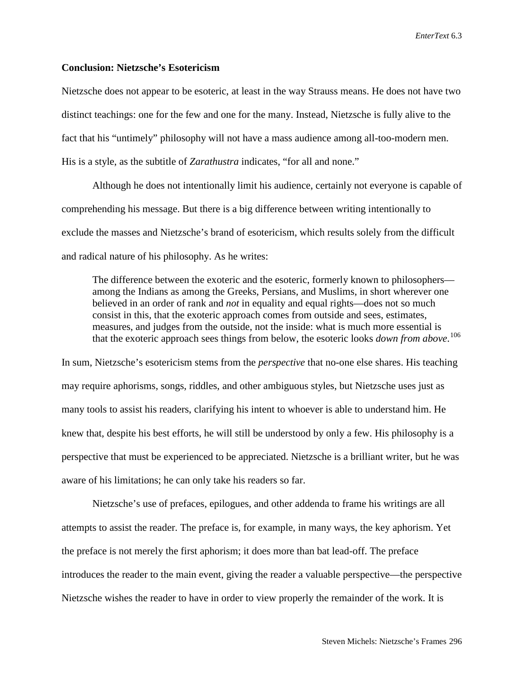## **Conclusion: Nietzsche's Esotericism**

Nietzsche does not appear to be esoteric, at least in the way Strauss means. He does not have two distinct teachings: one for the few and one for the many. Instead, Nietzsche is fully alive to the fact that his "untimely" philosophy will not have a mass audience among all-too-modern men. His is a style, as the subtitle of *Zarathustra* indicates, "for all and none."

Although he does not intentionally limit his audience, certainly not everyone is capable of comprehending his message. But there is a big difference between writing intentionally to exclude the masses and Nietzsche's brand of esotericism, which results solely from the difficult and radical nature of his philosophy. As he writes:

The difference between the exoteric and the esoteric, formerly known to philosophers among the Indians as among the Greeks, Persians, and Muslims, in short wherever one believed in an order of rank and *not* in equality and equal rights—does not so much consist in this, that the exoteric approach comes from outside and sees, estimates, measures, and judges from the outside, not the inside: what is much more essential is that the exoteric approach sees things from below, the esoteric looks *down from above*. [106](#page-29-75)

In sum, Nietzsche's esotericism stems from the *perspective* that no-one else shares. His teaching may require aphorisms, songs, riddles, and other ambiguous styles, but Nietzsche uses just as many tools to assist his readers, clarifying his intent to whoever is able to understand him. He knew that, despite his best efforts, he will still be understood by only a few. His philosophy is a perspective that must be experienced to be appreciated. Nietzsche is a brilliant writer, but he was aware of his limitations; he can only take his readers so far.

Nietzsche's use of prefaces, epilogues, and other addenda to frame his writings are all attempts to assist the reader. The preface is, for example, in many ways, the key aphorism. Yet the preface is not merely the first aphorism; it does more than bat lead-off. The preface introduces the reader to the main event, giving the reader a valuable perspective—the perspective Nietzsche wishes the reader to have in order to view properly the remainder of the work. It is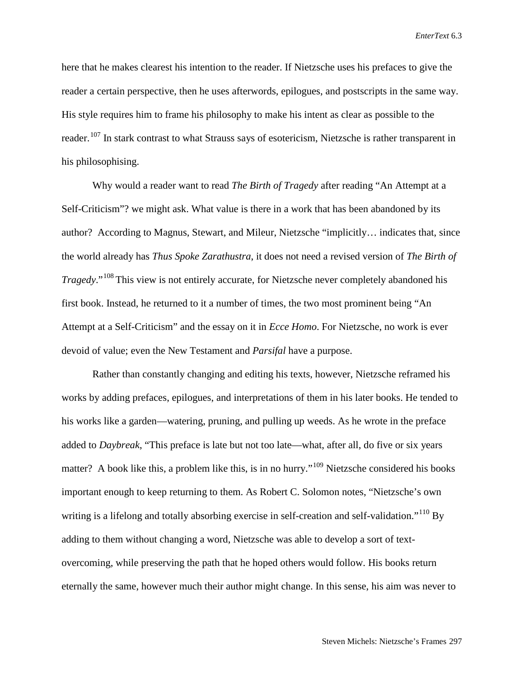here that he makes clearest his intention to the reader. If Nietzsche uses his prefaces to give the reader a certain perspective, then he uses afterwords, epilogues, and postscripts in the same way. His style requires him to frame his philosophy to make his intent as clear as possible to the reader.<sup>[107](#page-29-76)</sup> In stark contrast to what Strauss says of esotericism, Nietzsche is rather transparent in his philosophising.

Why would a reader want to read *The Birth of Tragedy* after reading "An Attempt at a Self-Criticism"? we might ask. What value is there in a work that has been abandoned by its author? According to Magnus, Stewart, and Mileur, Nietzsche "implicitly… indicates that, since the world already has *Thus Spoke Zarathustra*, it does not need a revised version of *The Birth of Tragedy*."<sup>[108](#page-29-77)</sup> This view is not entirely accurate, for Nietzsche never completely abandoned his first book. Instead, he returned to it a number of times, the two most prominent being "An Attempt at a Self-Criticism" and the essay on it in *Ecce Homo*. For Nietzsche, no work is ever devoid of value; even the New Testament and *Parsifal* have a purpose.

Rather than constantly changing and editing his texts, however, Nietzsche reframed his works by adding prefaces, epilogues, and interpretations of them in his later books. He tended to his works like a garden—watering, pruning, and pulling up weeds. As he wrote in the preface added to *Daybreak*, "This preface is late but not too late—what, after all, do five or six years matter? A book like this, a problem like this, is in no hurry."<sup>[109](#page-29-78)</sup> Nietzsche considered his books important enough to keep returning to them. As Robert C. Solomon notes, "Nietzsche's own writing is a lifelong and totally absorbing exercise in self-creation and self-validation."<sup>[110](#page-29-57)</sup> By adding to them without changing a word, Nietzsche was able to develop a sort of textovercoming, while preserving the path that he hoped others would follow. His books return eternally the same, however much their author might change. In this sense, his aim was never to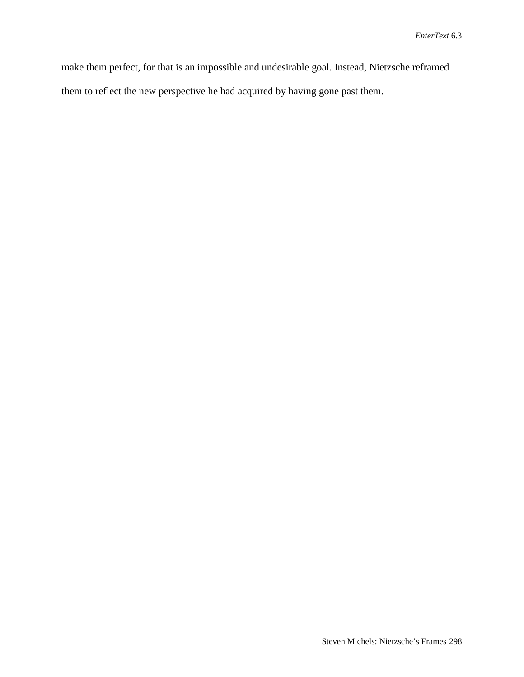make them perfect, for that is an impossible and undesirable goal. Instead, Nietzsche reframed them to reflect the new perspective he had acquired by having gone past them.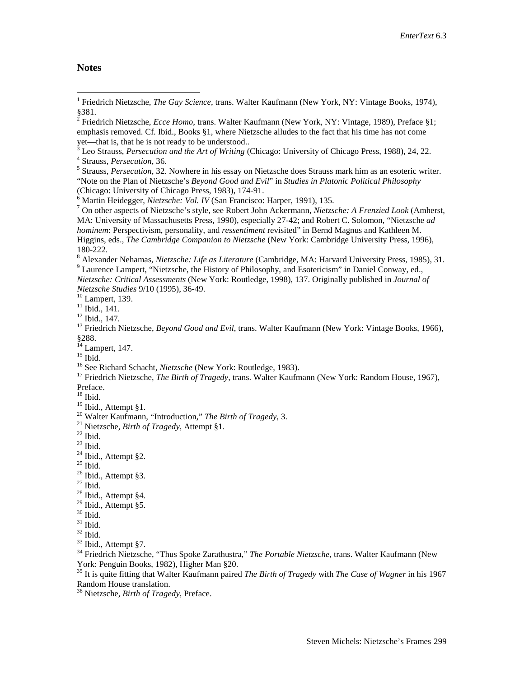## **Notes**

(Chicago: University of Chicago Press, 1983), 174-91.<br>
<sup>6</sup> Martin Heidegger, *Nietzsche: Vol. IV* (San Francisco: Harper, 1991), 135.<br>
<sup>7</sup> On other aspects of Nietzsche's style, see Robert John Ackermann, *Nietzsche: A Fre* MA: University of Massachusetts Press, 1990), especially 27-42; and Robert C. Solomon, "Nietzsche *ad hominem*: Perspectivism, personality, and *ressentiment* revisited" in Bernd Magnus and Kathleen M. Higgins, eds., *The Cambridge Companion to Nietzsche* (New York: Cambridge University Press, 1996),

180-222.<br><sup>8</sup> Alexander Nehamas, *Nietzsche: Life as Literature* (Cambridge, MA: Harvard University Press, 1985), 31.<br><sup>9</sup> Laurence Lampert, "Nietzsche, the History of Philosophy, and Esotericism" in Daniel Conway, ed., *Nietzsche: Critical Assessments* (New York: Routledge, 1998), 137. Originally published in *Journal of* 

15 Ibid.<br><sup>16</sup> Ibid. 16 See Richard Schacht, *Nietzsche* (New York: Routledge, 1983).<br><sup>17</sup> Friedrich Nietzsche, *The Birth of Tragedy*, trans. Walter Kaufmann (New York: Random House, 1967),

Preface.

- 
- 
- 
- 
- 
- 

<sup>30</sup> Ibid.<br><sup>31</sup> Ibid.<br><sup>32</sup> Ibid., Attempt §7.<br><sup>34</sup> Friedrich Nietzsche, "Thus Spoke Zarathustra," *The Portable Nietzsche*, trans. Walter Kaufmann (New York: Penguin Books, 1982), Higher Man §20.

<sup>35</sup> It is quite fitting that Walter Kaufmann paired *The Birth of Tragedy* with *The Case of Wagner* in his 1967 Random House translation.

<sup>36</sup> Nietzsche, *Birth of Tragedy*, Preface.

<span id="page-27-0"></span><sup>&</sup>lt;sup>1</sup> Friedrich Nietzsche, *The Gay Science*, trans. Walter Kaufmann (New York, NY: Vintage Books, 1974), §381.

<span id="page-27-1"></span><sup>&</sup>lt;sup>2</sup> Friedrich Nietzsche, *Ecce Homo*, trans. Walter Kaufmann (New York, NY: Vintage, 1989), Preface §1; emphasis removed. Cf. Ibid., Books §1, where Nietzsche alludes to the fact that his time has not come yet—that is, that he is not ready to be understood..

<sup>&</sup>lt;sup>3</sup> Leo Strauss, *Persecution and the Art of Writing* (Chicago: University of Chicago Press, 1988), 24, 22.<br><sup>4</sup> Strauss, *Persecution*, 36.<br><sup>5</sup> Strauss, *Persecution*, 32. Nowhere in his essay on Nietzsche does Strauss ma

<sup>&</sup>quot;Note on the Plan of Nietzsche's *Beyond Good and Evil*" in *Studies in Platonic Political Philosophy*

<sup>&</sup>lt;sup>10</sup> Lampert, 139.<br><sup>11</sup> Ibid., 141.<br><sup>12</sup> Ibid., 147.<br><sup>13</sup> Friedrich Nietzsche, *Beyond Good and Evil*, trans. Walter Kaufmann (New York: Vintage Books, 1966), §288.<br><sup>14</sup> Lampert, 147.

 $18$  Ibid.<br> $19$  Ibid., Attempt §1.

<sup>&</sup>lt;sup>20</sup> Walter Kaufmann, "Introduction," *The Birth of Tragedy*, 3.<br>
<sup>21</sup> Nietzsche, *Birth of Tragedy*, Attempt §1.<br>
<sup>22</sup> Ibid.<br>
<sup>23</sup> Ibid.<br>
<sup>24</sup> Ibid., Attempt §2.<br>
<sup>25</sup> Ibid., Attempt §3.<br>
<sup>27</sup> Ibid., Attempt §3.<br>
<sup>28</sup> Ib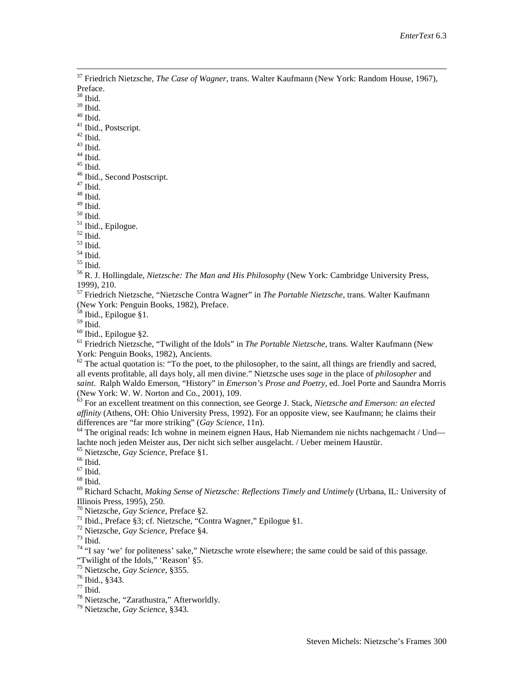<sup>37</sup> Friedrich Nietzsche, *The Case of Wagner*, trans. Walter Kaufmann (New York: Random House, 1967), Preface.

 $\stackrel{38}{\scriptstyle .}$  Ibid.<br> 19 Ibid.

<span id="page-28-0"></span>

<span id="page-28-1"></span>

<span id="page-28-2"></span>

<sup>40</sup> Ibid.<br>
<sup>41</sup> Ibid., Postscript.<br>
<sup>42</sup> Ibid.<br>
<sup>43</sup> Ibid.<br>
<sup>45</sup> Ibid. 46 Ibid., Second Postscript.<br>
<sup>47</sup> Ibid.<br>
<sup>48</sup> Ibid.<br>
<sup>48</sup> Ibid.<br>
<sup>49</sup> Ibid.

<span id="page-28-5"></span>

<span id="page-28-4"></span><span id="page-28-3"></span>49 Ibid.<br><sup>51</sup> Ibid., Epilogue.<br><sup>52</sup> Ibid.<br><sup>53</sup> Ibid.<br><sup>54</sup> Ibid. <sup>54</sup> Ibid.<br><sup>55</sup> R. J. Hollingdale. *Nietzsche: The Man and His Philosoph*y (New York: Cambridge University Press. 1999), 210.

<sup>57</sup> Friedrich Nietzsche, "Nietzsche Contra Wagner" in *The Portable Nietzsche*, trans. Walter Kaufmann (New York: Penguin Books, 1982), Preface.

<sup>58</sup> Ibid., Epilogue §1.

<sup>59</sup> Ibid. <sup>60</sup> Ibid., Epilogue §2. <sup>61</sup> Friedrich Nietzsche, "Twilight of the Idols" in *The Portable Nietzsche*, trans. Walter Kaufmann (New York: Penguin Books, 1982), Ancients.

 $62$  The actual quotation is: "To the poet, to the philosopher, to the saint, all things are friendly and sacred, all events profitable, all days holy, all men divine." Nietzsche uses *sage* in the place of *philosopher* and *saint*. Ralph Waldo Emerson, "History" in *Emerson's Prose and Poetry*, ed. Joel Porte and Saundra Morris (New York: W. W. Norton and Co., 2001), 109.

<sup>63</sup> For an excellent treatment on this connection, see George J. Stack, *Nietzsche and Emerson: an elected affinity* (Athens, OH: Ohio University Press, 1992). For an opposite view, see Kaufmann; he claims their differences are "far more striking" (*Gay Science*, 11n).

<sup>64</sup> The original reads: Ich wohne in meinem eignen Haus, Hab Niemandem nie nichts nachgemacht / Und—<br>lachte noch jeden Meister aus, Der nicht sich selber ausgelacht. / Ueber meinem Haustür.

<sup>65</sup> Nietzsche, *Gay Science*, Preface §1.<br><sup>66</sup> Ibid.<br><sup>67</sup> Ibid.<br><sup>68</sup> Richard Schacht, *Making Sense of Nietzsche: Reflections Timely and Untimely* (Urbana, IL: University of Illinois Press, 1995), 250.<br><sup>70</sup> Nietzsche, *Gay Science*, Preface §2.

<sup>71</sup> Ibid., Preface §3; cf. Nietzsche, "Contra Wagner," Epilogue §1.<br><sup>72</sup> Nietzsche, *Gay Science*, Preface §4.<br><sup>73</sup> Ibid.<br><sup>74</sup> "I say 'we' for politeness' sake," Nietzsche wrote elsewhere; the same could be said of this

"Twilight of the Idols," 'Reason' §5.<br><sup>75</sup> Nietzsche, *Gay Science*, §355.

<sup>75</sup> Nietzsche, *Gay Science*, §355. <sup>76</sup> Ibid., §343. 77 Ibid. <sup>78</sup> Nietzsche, "Zarathustra," Afterworldly. <sup>79</sup> Nietzsche, *Gay Science*, §343.